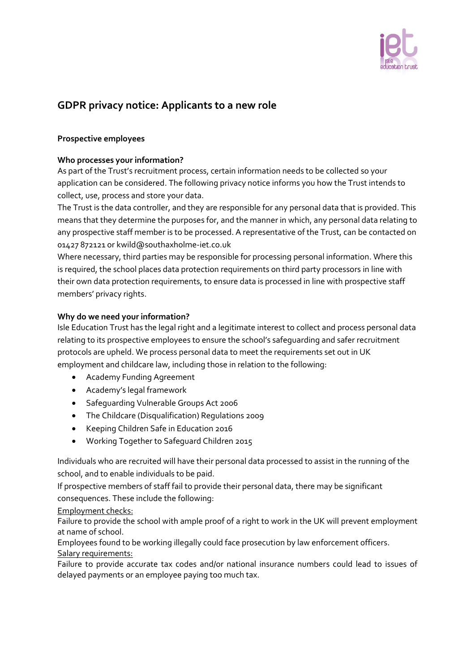

# **GDPR privacy notice: Applicants to a new role**

#### **Prospective employees**

#### **Who processes your information?**

As part of the Trust's recruitment process, certain information needs to be collected so your application can be considered. The following privacy notice informs you how the Trust intends to collect, use, process and store your data.

The Trust is the data controller, and they are responsible for any personal data that is provided. This means that they determine the purposes for, and the manner in which, any personal data relating to any prospective staff member is to be processed. A representative of the Trust, can be contacted on 01427 872121 or kwild@southaxholme-iet.co.uk

Where necessary, third parties may be responsible for processing personal information. Where this is required, the school places data protection requirements on third party processors in line with their own data protection requirements, to ensure data is processed in line with prospective staff members' privacy rights.

#### **Why do we need your information?**

Isle Education Trust has the legal right and a legitimate interest to collect and process personal data relating to its prospective employees to ensure the school's safeguarding and safer recruitment protocols are upheld. We process personal data to meet the requirements set out in UK employment and childcare law, including those in relation to the following:

- Academy Funding Agreement
- Academy's legal framework
- Safeguarding Vulnerable Groups Act 2006
- The Childcare (Disqualification) Regulations 2009
- Keeping Children Safe in Education 2016
- Working Together to Safeguard Children 2015

Individuals who are recruited will have their personal data processed to assist in the running of the school, and to enable individuals to be paid.

If prospective members of staff fail to provide their personal data, there may be significant consequences. These include the following:

#### Employment checks:

Failure to provide the school with ample proof of a right to work in the UK will prevent employment at name of school.

Employees found to be working illegally could face prosecution by law enforcement officers. Salary requirements:

Failure to provide accurate tax codes and/or national insurance numbers could lead to issues of delayed payments or an employee paying too much tax.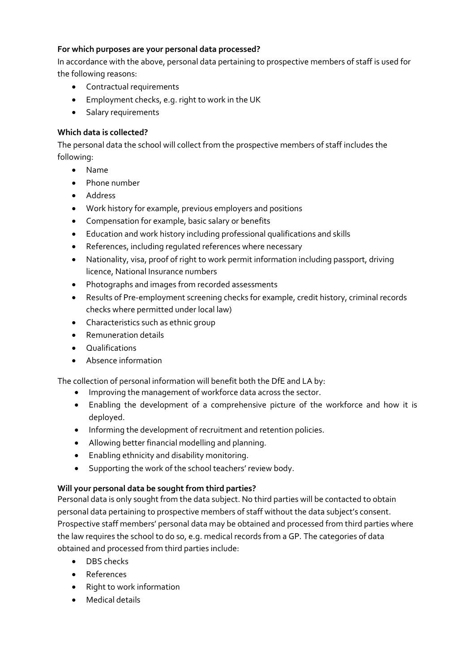## **For which purposes are your personal data processed?**

In accordance with the above, personal data pertaining to prospective members of staff is used for the following reasons:

- Contractual requirements
- Employment checks, e.g. right to work in the UK
- Salary requirements

# **Which data is collected?**

The personal data the school will collect from the prospective members of staff includes the following:

- Name
- Phone number
- Address
- Work history for example, previous employers and positions
- Compensation for example, basic salary or benefits
- Education and work history including professional qualifications and skills
- References, including regulated references where necessary
- Nationality, visa, proof of right to work permit information including passport, driving licence, National Insurance numbers
- Photographs and images from recorded assessments
- Results of Pre-employment screening checks for example, credit history, criminal records checks where permitted under local law)
- Characteristics such as ethnic group
- Remuneration details
- Qualifications
- Absence information

The collection of personal information will benefit both the DfE and LA by:

- Improving the management of workforce data across the sector.
- Enabling the development of a comprehensive picture of the workforce and how it is deployed.
- Informing the development of recruitment and retention policies.
- Allowing better financial modelling and planning.
- Enabling ethnicity and disability monitoring.
- Supporting the work of the school teachers' review body.

# **Will your personal data be sought from third parties?**

Personal data is only sought from the data subject. No third parties will be contacted to obtain personal data pertaining to prospective members of staff without the data subject's consent. Prospective staff members' personal data may be obtained and processed from third parties where the law requires the school to do so, e.g. medical records from a GP. The categories of data obtained and processed from third parties include:

- DBS checks
- References
- Right to work information
- Medical details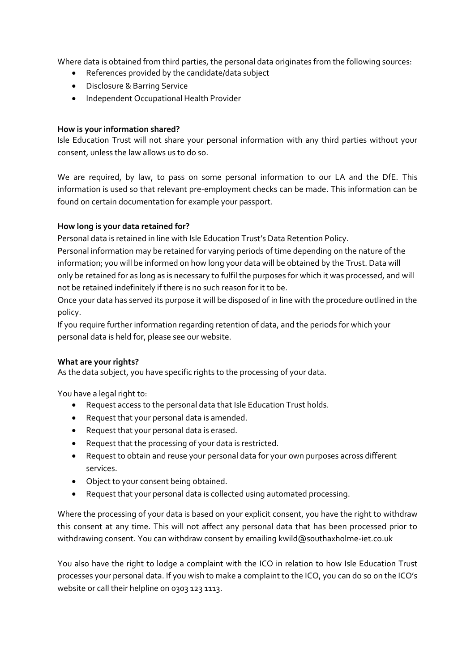Where data is obtained from third parties, the personal data originates from the following sources:

- References provided by the candidate/data subject
- Disclosure & Barring Service
- **•** Independent Occupational Health Provider

### **How is your information shared?**

Isle Education Trust will not share your personal information with any third parties without your consent, unless the law allows us to do so.

We are required, by law, to pass on some personal information to our LA and the DfE. This information is used so that relevant pre-employment checks can be made. This information can be found on certain documentation for example your passport.

# **How long is your data retained for?**

Personal data is retained in line with Isle Education Trust's Data Retention Policy.

Personal information may be retained for varying periods of time depending on the nature of the information; you will be informed on how long your data will be obtained by the Trust. Data will only be retained for as long as is necessary to fulfil the purposes for which it was processed, and will not be retained indefinitely if there is no such reason for it to be.

Once your data has served its purpose it will be disposed of in line with the procedure outlined in the policy.

If you require further information regarding retention of data, and the periods for which your personal data is held for, please see our website.

# **What are your rights?**

As the data subject, you have specific rights to the processing of your data.

You have a legal right to:

- Request access to the personal data that Isle Education Trust holds.
- Request that your personal data is amended.
- Request that your personal data is erased.
- Request that the processing of your data is restricted.
- Request to obtain and reuse your personal data for your own purposes across different services.
- Object to your consent being obtained.
- Request that your personal data is collected using automated processing.

Where the processing of your data is based on your explicit consent, you have the right to withdraw this consent at any time. This will not affect any personal data that has been processed prior to withdrawing consent. You can withdraw consent by emailing kwild@southaxholme-iet.co.uk

You also have the right to lodge a complaint with the ICO in relation to how Isle Education Trust processes your personal data. If you wish to make a complaint to the ICO, you can do so on the ICO's website or call their helpline on 0303 123 1113.